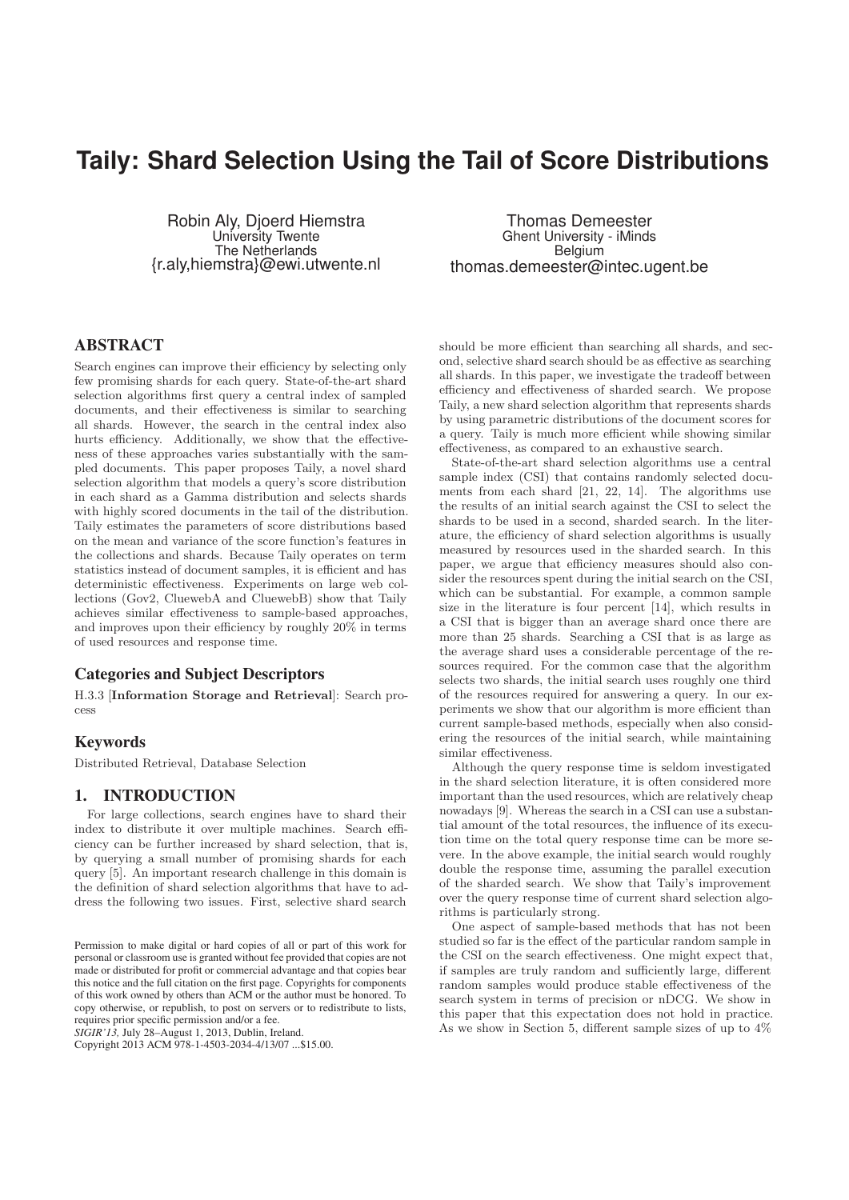# Taily: Shard Selection Using the Tail of Score Distributions

Robin Aly, Djoerd Hiemstra University Twente The Netherlands {r.aly,hiemstra}@ewi.utwente.nl

ABSTRACT

Search engines can improve their efficiency by selecting only few promising shards for each query. State-of-the-art shard selection algorithms first query a central index of sampled documents, and their effectiveness is similar to searching all shards. However, the search in the central index also hurts efficiency. Additionally, we show that the effectiveness of these approaches varies substantially with the sampled documents. This paper proposes Taily, a novel shard selection algorithm that models a query's score distribution in each shard as a Gamma distribution and selects shards with highly scored documents in the tail of the distribution. Taily estimates the parameters of score distributions based on the mean and variance of the score function's features in the collections and shards. Because Taily operates on term statistics instead of document samples, it is efficient and has deterministic effectiveness. Experiments on large web collections (Gov2, CluewebA and CluewebB) show that Taily achieves similar effectiveness to sample-based approaches, and improves upon their efficiency by roughly 20% in terms of used resources and response time.

## Categories and Subject Descriptors

H.3.3 [Information Storage and Retrieval]: Search process

## Keywords

Distributed Retrieval, Database Selection

## 1. INTRODUCTION

For large collections, search engines have to shard their index to distribute it over multiple machines. Search efficiency can be further increased by shard selection, that is, by querying a small number of promising shards for each query [5]. An important research challenge in this domain is the definition of shard selection algorithms that have to address the following two issues. First, selective shard search

 $SIGIR'13$ , July 28–August 1, 2013, Dublin, Ireland.

Copyright 2013 ACM 978-1-4503-2034-4/13/07 ...\$15.00.

Thomas Demeester Ghent University - iMinds Belgium thomas.demeester@intec.ugent.be

should be more efficient than searching all shards, and second, selective shard search should be as effective as searching all shards. In this paper, we investigate the tradeoff between efficiency and effectiveness of sharded search. We propose Taily, a new shard selection algorithm that represents shards by using parametric distributions of the document scores for a query. Taily is much more efficient while showing similar effectiveness, as compared to an exhaustive search.

State-of-the-art shard selection algorithms use a central sample index (CSI) that contains randomly selected documents from each shard [21, 22, 14]. The algorithms use the results of an initial search against the CSI to select the shards to be used in a second, sharded search. In the literature, the efficiency of shard selection algorithms is usually measured by resources used in the sharded search. In this paper, we argue that efficiency measures should also consider the resources spent during the initial search on the CSI, which can be substantial. For example, a common sample size in the literature is four percent [14], which results in a CSI that is bigger than an average shard once there are more than 25 shards. Searching a CSI that is as large as the average shard uses a considerable percentage of the resources required. For the common case that the algorithm selects two shards, the initial search uses roughly one third of the resources required for answering a query. In our experiments we show that our algorithm is more efficient than current sample-based methods, especially when also considering the resources of the initial search, while maintaining similar effectiveness.

Although the query response time is seldom investigated in the shard selection literature, it is often considered more important than the used resources, which are relatively cheap nowadays [9]. Whereas the search in a CSI can use a substantial amount of the total resources, the influence of its execution time on the total query response time can be more severe. In the above example, the initial search would roughly double the response time, assuming the parallel execution of the sharded search. We show that Taily's improvement over the query response time of current shard selection algorithms is particularly strong.

One aspect of sample-based methods that has not been studied so far is the effect of the particular random sample in the CSI on the search effectiveness. One might expect that, if samples are truly random and sufficiently large, different random samples would produce stable effectiveness of the search system in terms of precision or nDCG. We show in this paper that this expectation does not hold in practice. As we show in Section 5, different sample sizes of up to 4%

Permission to make digital or hard copies of all or part of this work for personal or classroom use is granted without fee provided that copies are not made or distributed for profit or commercial advantage and that copies bear this notice and the full citation on the first page. Copyrights for components of this work owned by others than ACM or the author must be honored. To copy otherwise, or republish, to post on servers or to redistribute to lists, requires prior specific permission and/or a fee.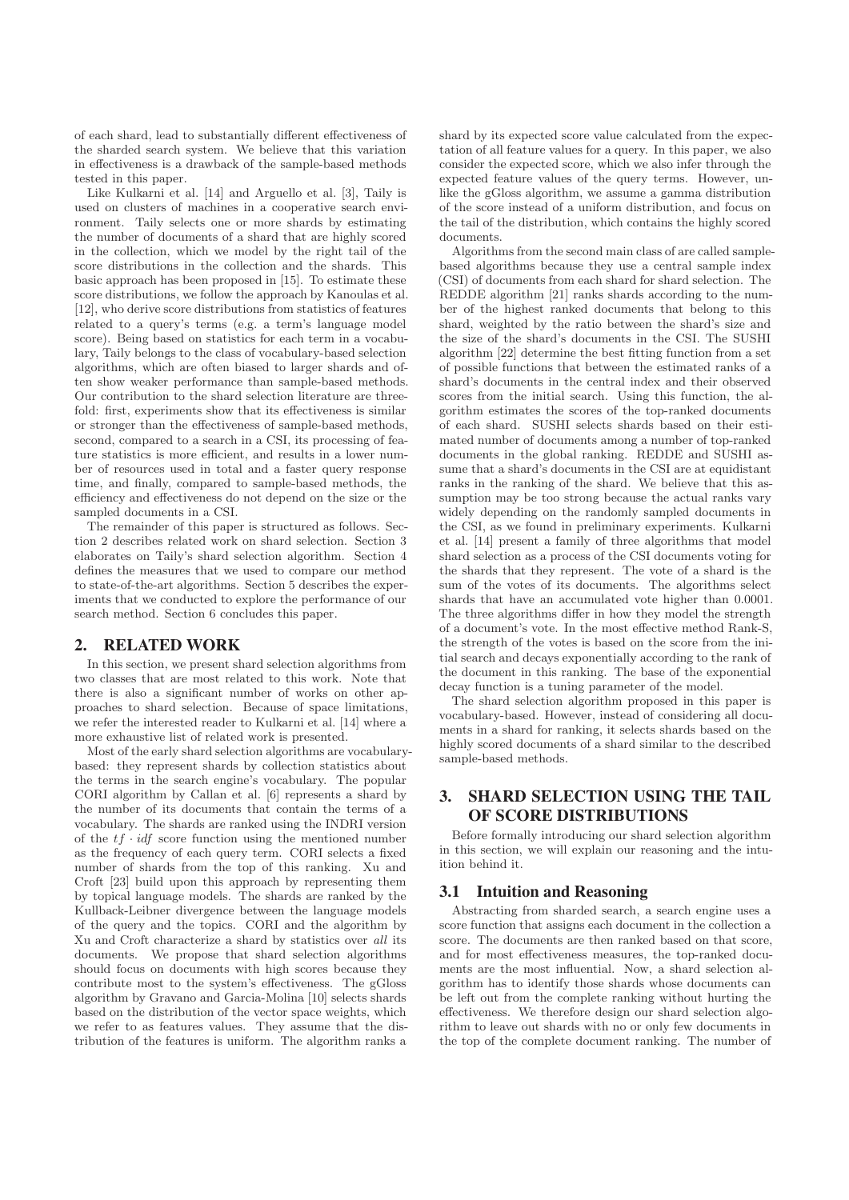of each shard, lead to substantially different effectiveness of the sharded search system. We believe that this variation in effectiveness is a drawback of the sample-based methods tested in this paper.

Like Kulkarni et al. [14] and Arguello et al. [3], Taily is used on clusters of machines in a cooperative search environment. Taily selects one or more shards by estimating the number of documents of a shard that are highly scored in the collection, which we model by the right tail of the score distributions in the collection and the shards. This basic approach has been proposed in [15]. To estimate these score distributions, we follow the approach by Kanoulas et al. [12], who derive score distributions from statistics of features related to a query's terms (e.g. a term's language model score). Being based on statistics for each term in a vocabulary, Taily belongs to the class of vocabulary-based selection algorithms, which are often biased to larger shards and often show weaker performance than sample-based methods. Our contribution to the shard selection literature are threefold: first, experiments show that its effectiveness is similar or stronger than the effectiveness of sample-based methods, second, compared to a search in a CSI, its processing of feature statistics is more efficient, and results in a lower number of resources used in total and a faster query response time, and finally, compared to sample-based methods, the efficiency and effectiveness do not depend on the size or the sampled documents in a CSI.

The remainder of this paper is structured as follows. Section 2 describes related work on shard selection. Section 3 elaborates on Taily's shard selection algorithm. Section 4 defines the measures that we used to compare our method to state-of-the-art algorithms. Section 5 describes the experiments that we conducted to explore the performance of our search method. Section 6 concludes this paper.

## 2. RELATED WORK

In this section, we present shard selection algorithms from two classes that are most related to this work. Note that there is also a significant number of works on other approaches to shard selection. Because of space limitations, we refer the interested reader to Kulkarni et al. [14] where a more exhaustive list of related work is presented.

Most of the early shard selection algorithms are vocabularybased: they represent shards by collection statistics about the terms in the search engine's vocabulary. The popular CORI algorithm by Callan et al. [6] represents a shard by the number of its documents that contain the terms of a vocabulary. The shards are ranked using the INDRI version of the  $tf \cdot idf$  score function using the mentioned number as the frequency of each query term. CORI selects a fixed number of shards from the top of this ranking. Xu and Croft [23] build upon this approach by representing them by topical language models. The shards are ranked by the Kullback-Leibner divergence between the language models of the query and the topics. CORI and the algorithm by Xu and Croft characterize a shard by statistics over all its documents. We propose that shard selection algorithms should focus on documents with high scores because they contribute most to the system's effectiveness. The gGloss algorithm by Gravano and Garcia-Molina [10] selects shards based on the distribution of the vector space weights, which we refer to as features values. They assume that the distribution of the features is uniform. The algorithm ranks a

shard by its expected score value calculated from the expectation of all feature values for a query. In this paper, we also consider the expected score, which we also infer through the expected feature values of the query terms. However, unlike the gGloss algorithm, we assume a gamma distribution of the score instead of a uniform distribution, and focus on the tail of the distribution, which contains the highly scored documents.

Algorithms from the second main class of are called samplebased algorithms because they use a central sample index (CSI) of documents from each shard for shard selection. The REDDE algorithm [21] ranks shards according to the number of the highest ranked documents that belong to this shard, weighted by the ratio between the shard's size and the size of the shard's documents in the CSI. The SUSHI algorithm [22] determine the best fitting function from a set of possible functions that between the estimated ranks of a shard's documents in the central index and their observed scores from the initial search. Using this function, the algorithm estimates the scores of the top-ranked documents of each shard. SUSHI selects shards based on their estimated number of documents among a number of top-ranked documents in the global ranking. REDDE and SUSHI assume that a shard's documents in the CSI are at equidistant ranks in the ranking of the shard. We believe that this assumption may be too strong because the actual ranks vary widely depending on the randomly sampled documents in the CSI, as we found in preliminary experiments. Kulkarni et al. [14] present a family of three algorithms that model shard selection as a process of the CSI documents voting for the shards that they represent. The vote of a shard is the sum of the votes of its documents. The algorithms select shards that have an accumulated vote higher than 0.0001. The three algorithms differ in how they model the strength of a document's vote. In the most effective method Rank-S, the strength of the votes is based on the score from the initial search and decays exponentially according to the rank of the document in this ranking. The base of the exponential decay function is a tuning parameter of the model.

The shard selection algorithm proposed in this paper is vocabulary-based. However, instead of considering all documents in a shard for ranking, it selects shards based on the highly scored documents of a shard similar to the described sample-based methods.

# 3. SHARD SELECTION USING THE TAIL OF SCORE DISTRIBUTIONS

Before formally introducing our shard selection algorithm in this section, we will explain our reasoning and the intuition behind it.

## 3.1 Intuition and Reasoning

Abstracting from sharded search, a search engine uses a score function that assigns each document in the collection a score. The documents are then ranked based on that score, and for most effectiveness measures, the top-ranked documents are the most influential. Now, a shard selection algorithm has to identify those shards whose documents can be left out from the complete ranking without hurting the effectiveness. We therefore design our shard selection algorithm to leave out shards with no or only few documents in the top of the complete document ranking. The number of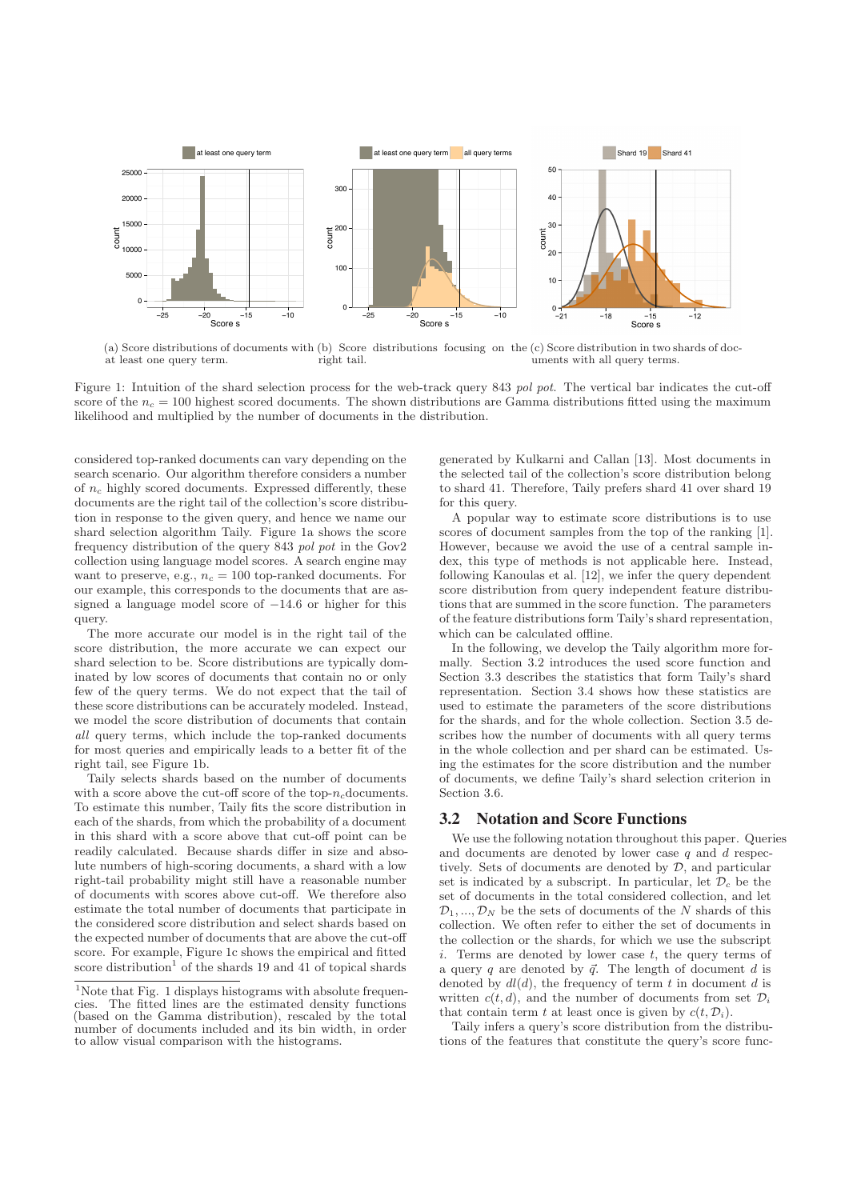

(a) Score distributions of documents with (b) Score distributions focusing on the (c) Score distribution in two shards of docat least one query term. right tail. uments with all query terms.

Figure 1: Intuition of the shard selection process for the web-track query 843 pol pot. The vertical bar indicates the cut-off score of the  $n_c = 100$  highest scored documents. The shown distributions are Gamma distributions fitted using the maximum likelihood and multiplied by the number of documents in the distribution.

considered top-ranked documents can vary depending on the search scenario. Our algorithm therefore considers a number of  $n_c$  highly scored documents. Expressed differently, these documents are the right tail of the collection's score distribution in response to the given query, and hence we name our shard selection algorithm Taily. Figure 1a shows the score frequency distribution of the query 843 pol pot in the Gov2 collection using language model scores. A search engine may want to preserve, e.g.,  $n_c = 100$  top-ranked documents. For our example, this corresponds to the documents that are assigned a language model score of  $-14.6$  or higher for this query.

The more accurate our model is in the right tail of the score distribution, the more accurate we can expect our shard selection to be. Score distributions are typically dominated by low scores of documents that contain no or only few of the query terms. We do not expect that the tail of these score distributions can be accurately modeled. Instead, we model the score distribution of documents that contain all query terms, which include the top-ranked documents for most queries and empirically leads to a better fit of the right tail, see Figure 1b.

Taily selects shards based on the number of documents with a score above the cut-off score of the top- $n_c$ documents. To estimate this number, Taily fits the score distribution in each of the shards, from which the probability of a document in this shard with a score above that cut-off point can be readily calculated. Because shards differ in size and absolute numbers of high-scoring documents, a shard with a low right-tail probability might still have a reasonable number of documents with scores above cut-off. We therefore also estimate the total number of documents that participate in the considered score distribution and select shards based on the expected number of documents that are above the cut-off score. For example, Figure 1c shows the empirical and fitted score distribution<sup>1</sup> of the shards 19 and 41 of topical shards

generated by Kulkarni and Callan [13]. Most documents in the selected tail of the collection's score distribution belong to shard 41. Therefore, Taily prefers shard 41 over shard 19 for this query.

A popular way to estimate score distributions is to use scores of document samples from the top of the ranking [1]. However, because we avoid the use of a central sample index, this type of methods is not applicable here. Instead, following Kanoulas et al. [12], we infer the query dependent score distribution from query independent feature distributions that are summed in the score function. The parameters of the feature distributions form Taily's shard representation, which can be calculated offline.

In the following, we develop the Taily algorithm more formally. Section 3.2 introduces the used score function and Section 3.3 describes the statistics that form Taily's shard representation. Section 3.4 shows how these statistics are used to estimate the parameters of the score distributions for the shards, and for the whole collection. Section 3.5 describes how the number of documents with all query terms in the whole collection and per shard can be estimated. Using the estimates for the score distribution and the number of documents, we define Taily's shard selection criterion in Section 3.6.

## 3.2 Notation and Score Functions

We use the following notation throughout this paper. Queries and documents are denoted by lower case  $q$  and  $d$  respectively. Sets of documents are denoted by  $D$ , and particular set is indicated by a subscript. In particular, let  $\mathcal{D}_c$  be the set of documents in the total considered collection, and let  $\mathcal{D}_1, \ldots, \mathcal{D}_N$  be the sets of documents of the N shards of this collection. We often refer to either the set of documents in the collection or the shards, for which we use the subscript i. Terms are denoted by lower case  $t$ , the query terms of a query q are denoted by  $\vec{q}$ . The length of document d is denoted by  $dl(d)$ , the frequency of term t in document d is written  $c(t, d)$ , and the number of documents from set  $\mathcal{D}_i$ that contain term t at least once is given by  $c(t, \mathcal{D}_i)$ .

Taily infers a query's score distribution from the distributions of the features that constitute the query's score func-

 $1$ <sup>1</sup>Note that Fig. 1 displays histograms with absolute frequencies. The fitted lines are the estimated density functions (based on the Gamma distribution), rescaled by the total number of documents included and its bin width, in order to allow visual comparison with the histograms.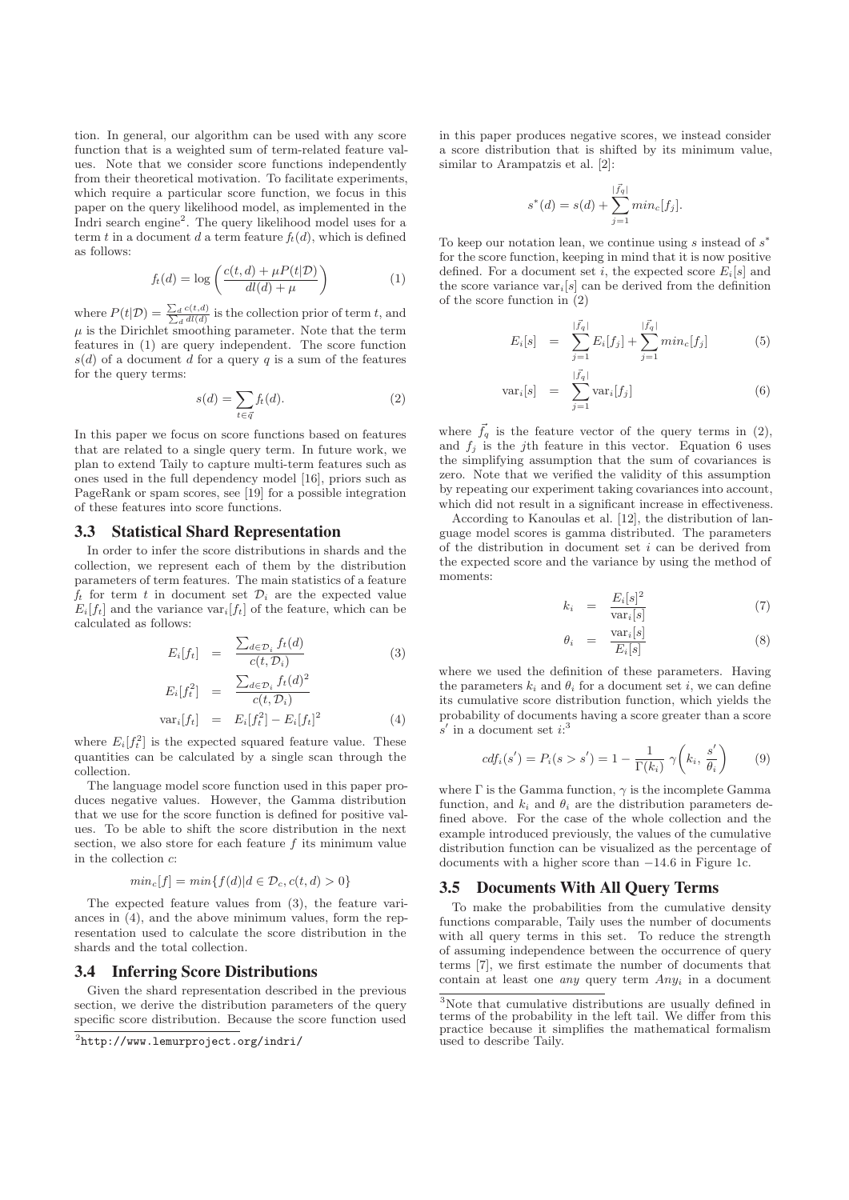tion. In general, our algorithm can be used with any score function that is a weighted sum of term-related feature values. Note that we consider score functions independently from their theoretical motivation. To facilitate experiments, which require a particular score function, we focus in this paper on the query likelihood model, as implemented in the Indri search engine<sup>2</sup>. The query likelihood model uses for a term t in a document d a term feature  $f_t(d)$ , which is defined as follows:

$$
f_t(d) = \log\left(\frac{c(t, d) + \mu P(t | \mathcal{D})}{dl(d) + \mu}\right) \tag{1}
$$

where  $P(t|\mathcal{D}) = \frac{\sum_d c(t,d)}{\sum_d d(l,d)}$  is the collection prior of term t, and  $\mu$  is the Dirichlet smoothing parameter. Note that the term features in (1) are query independent. The score function  $s(d)$  of a document d for a query q is a sum of the features for the query terms:

$$
s(d) = \sum_{t \in \bar{q}} f_t(d). \tag{2}
$$

In this paper we focus on score functions based on features that are related to a single query term. In future work, we plan to extend Taily to capture multi-term features such as ones used in the full dependency model [16], priors such as PageRank or spam scores, see [19] for a possible integration of these features into score functions.

## 3.3 Statistical Shard Representation

In order to infer the score distributions in shards and the collection, we represent each of them by the distribution parameters of term features. The main statistics of a feature  $f_t$  for term t in document set  $\mathcal{D}_i$  are the expected value  $E_i[f_t]$  and the variance var $_i[f_t]$  of the feature, which can be calculated as follows:

$$
E_i[f_t] = \frac{\sum_{d \in \mathcal{D}_i} f_t(d)}{c(t, \mathcal{D}_i)}
$$
(3)

$$
E_i[f_t^2] = \frac{\sum_{d \in \mathcal{D}_i} f_t(d)^2}{c(t, \mathcal{D}_i)}
$$
  

$$
var_i[f_t] = E_i[f_t^2] - E_i[f_t]^2
$$
 (4)

where 
$$
E_i[f_t^2]
$$
 is the expected squared feature value. These quantities can be calculated by a single scan through the collection.

The language model score function used in this paper produces negative values. However, the Gamma distribution that we use for the score function is defined for positive values. To be able to shift the score distribution in the next section, we also store for each feature  $f$  its minimum value in the collection c:

$$
min_c[f] = min\{f(d)|d \in \mathcal{D}_c, c(t, d) > 0\}
$$

The expected feature values from (3), the feature variances in (4), and the above minimum values, form the representation used to calculate the score distribution in the shards and the total collection.

#### 3.4 Inferring Score Distributions

Given the shard representation described in the previous section, we derive the distribution parameters of the query specific score distribution. Because the score function used in this paper produces negative scores, we instead consider a score distribution that is shifted by its minimum value, similar to Arampatzis et al. [2]:

$$
s^*(d) = s(d) + \sum_{j=1}^{|\vec{f}_q|} min_c[f_j].
$$

To keep our notation lean, we continue using s instead of  $s^*$ for the score function, keeping in mind that it is now positive defined. For a document set i, the expected score  $E_i[s]$  and the score variance  $var_i[s]$  can be derived from the definition of the score function in (2)

$$
E_i[s] = \sum_{j=1}^{|\vec{f}_q|} E_i[f_j] + \sum_{j=1}^{|\vec{f}_q|} min_c[f_j]
$$
(5)

$$
\text{var}_i[s] = \sum_{j=1}^{|\vec{f}_q|} \text{var}_i[f_j] \tag{6}
$$

where  $\vec{f}_q$  is the feature vector of the query terms in (2), and  $f_i$  is the j<sup>th</sup> feature in this vector. Equation 6 uses the simplifying assumption that the sum of covariances is zero. Note that we verified the validity of this assumption by repeating our experiment taking covariances into account, which did not result in a significant increase in effectiveness.

According to Kanoulas et al. [12], the distribution of language model scores is gamma distributed. The parameters of the distribution in document set  $i$  can be derived from the expected score and the variance by using the method of moments:

$$
k_i = \frac{E_i[s]^2}{\text{var}_i[s]} \tag{7}
$$

$$
\theta_i = \frac{\text{var}_i[s]}{E_i[s]} \tag{8}
$$

where we used the definition of these parameters. Having the parameters  $k_i$  and  $\theta_i$  for a document set i, we can define its cumulative score distribution function, which yields the probability of documents having a score greater than a score  $s'$  in a document set  $i:$ <sup>3</sup>

$$
cdf_i(s') = P_i(s > s') = 1 - \frac{1}{\Gamma(k_i)} \gamma\left(k_i, \frac{s'}{\theta_i}\right) \tag{9}
$$

where  $\Gamma$  is the Gamma function,  $\gamma$  is the incomplete Gamma function, and  $k_i$  and  $\theta_i$  are the distribution parameters defined above. For the case of the whole collection and the example introduced previously, the values of the cumulative distribution function can be visualized as the percentage of documents with a higher score than −14.6 in Figure 1c.

## 3.5 Documents With All Query Terms

To make the probabilities from the cumulative density functions comparable, Taily uses the number of documents with all query terms in this set. To reduce the strength of assuming independence between the occurrence of query terms [7], we first estimate the number of documents that contain at least one *any* query term  $Any_i$  in a document

<sup>2</sup>http://www.lemurproject.org/indri/

<sup>3</sup>Note that cumulative distributions are usually defined in terms of the probability in the left tail. We differ from this practice because it simplifies the mathematical formalism used to describe Taily.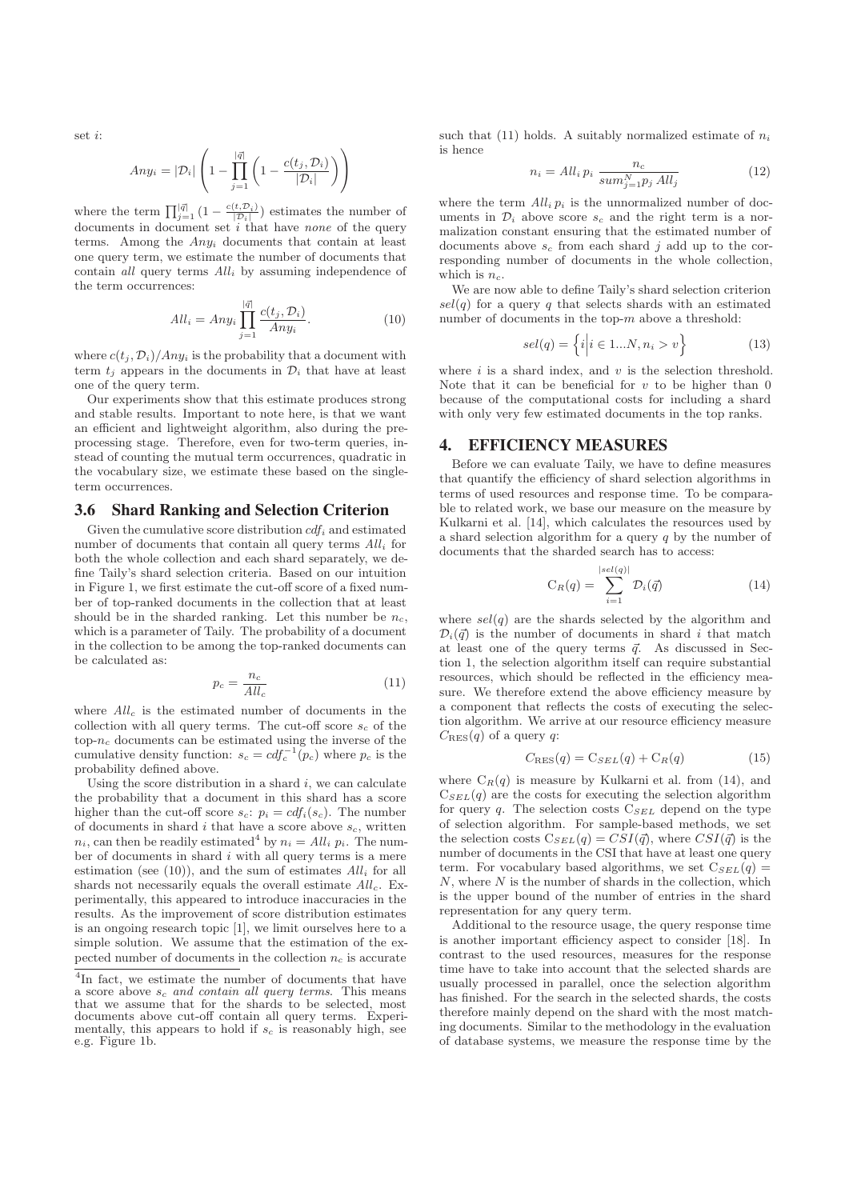set i:

$$
Any_i = |\mathcal{D}_i| \left( 1 - \prod_{j=1}^{|\vec{q}|} \left( 1 - \frac{c(t_j, \mathcal{D}_i)}{|\mathcal{D}_i|} \right) \right)
$$

where the term  $\prod_{j=1}^{|\vec{q}|} (1 - \frac{c(t, \mathcal{D}_i)}{|\mathcal{D}_i|})$  estimates the number of documents in document set *i* that have *none* of the query terms. Among the  $Any_i$  documents that contain at least one query term, we estimate the number of documents that contain all query terms  $All_i$  by assuming independence of the term occurrences:

$$
All_i = Any_i \prod_{j=1}^{|\vec{q}|} \frac{c(t_j, \mathcal{D}_i)}{Any_i}.
$$
\n(10)

where  $c(t_i, \mathcal{D}_i)/Any_i$  is the probability that a document with term  $t_i$  appears in the documents in  $\mathcal{D}_i$  that have at least one of the query term.

Our experiments show that this estimate produces strong and stable results. Important to note here, is that we want an efficient and lightweight algorithm, also during the preprocessing stage. Therefore, even for two-term queries, instead of counting the mutual term occurrences, quadratic in the vocabulary size, we estimate these based on the singleterm occurrences.

#### 3.6 Shard Ranking and Selection Criterion

Given the cumulative score distribution  $cdf_i$  and estimated number of documents that contain all query terms  $All_i$  for both the whole collection and each shard separately, we define Taily's shard selection criteria. Based on our intuition in Figure 1, we first estimate the cut-off score of a fixed number of top-ranked documents in the collection that at least should be in the sharded ranking. Let this number be  $n_c$ , which is a parameter of Taily. The probability of a document in the collection to be among the top-ranked documents can be calculated as:

$$
p_c = \frac{n_c}{All_c} \tag{11}
$$

where  $\mathcal{A}ll_c$  is the estimated number of documents in the collection with all query terms. The cut-off score  $s_c$  of the top- $n_c$  documents can be estimated using the inverse of the cumulative density function:  $s_c = cdf_c^{-1}(p_c)$  where  $p_c$  is the probability defined above.

Using the score distribution in a shard  $i$ , we can calculate the probability that a document in this shard has a score higher than the cut-off score  $s_c$ :  $p_i = cdf_i(s_c)$ . The number of documents in shard  $i$  that have a score above  $s_c$ , written  $n_i$ , can then be readily estimated<sup>4</sup> by  $n_i = All_i$   $p_i$ . The number of documents in shard  $i$  with all query terms is a mere estimation (see (10)), and the sum of estimates  $All_i$  for all shards not necessarily equals the overall estimate  $All_c$ . Experimentally, this appeared to introduce inaccuracies in the results. As the improvement of score distribution estimates is an ongoing research topic [1], we limit ourselves here to a simple solution. We assume that the estimation of the expected number of documents in the collection  $n_c$  is accurate such that (11) holds. A suitably normalized estimate of  $n_i$ is hence

$$
n_i = All_i \, p_i \, \frac{n_c}{sum_{j=1}^N p_j \, All_j} \tag{12}
$$

where the term  $All_i p_i$  is the unnormalized number of documents in  $\mathcal{D}_i$  above score  $s_c$  and the right term is a normalization constant ensuring that the estimated number of documents above  $s_c$  from each shard j add up to the corresponding number of documents in the whole collection, which is  $n_c$ .

We are now able to define Taily's shard selection criterion  $sel(q)$  for a query q that selects shards with an estimated number of documents in the top- $m$  above a threshold:

$$
sel(q) = \left\{ i \middle| i \in 1...N, n_i > v \right\} \tag{13}
$$

where  $i$  is a shard index, and  $v$  is the selection threshold. Note that it can be beneficial for  $v$  to be higher than 0 because of the computational costs for including a shard with only very few estimated documents in the top ranks.

## 4. EFFICIENCY MEASURES

Before we can evaluate Taily, we have to define measures that quantify the efficiency of shard selection algorithms in terms of used resources and response time. To be comparable to related work, we base our measure on the measure by Kulkarni et al. [14], which calculates the resources used by a shard selection algorithm for a query  $q$  by the number of documents that the sharded search has to access:

$$
C_R(q) = \sum_{i=1}^{|sel(q)|} \mathcal{D}_i(\vec{q}) \tag{14}
$$

where  $\text{sel}(q)$  are the shards selected by the algorithm and  $\mathcal{D}_i(\vec{q})$  is the number of documents in shard i that match at least one of the query terms  $\vec{q}$ . As discussed in Section 1, the selection algorithm itself can require substantial resources, which should be reflected in the efficiency measure. We therefore extend the above efficiency measure by a component that reflects the costs of executing the selection algorithm. We arrive at our resource efficiency measure  $C_{\text{RES}}(q)$  of a query q:

$$
C_{\text{RES}}(q) = C_{SEL}(q) + C_R(q)
$$
\n(15)

where  $C_R(q)$  is measure by Kulkarni et al. from (14), and  $C_{SEL}(q)$  are the costs for executing the selection algorithm for query  $q$ . The selection costs  $C_{SEL}$  depend on the type of selection algorithm. For sample-based methods, we set the selection costs  $C_{SEL}(q) = CSI(\vec{q})$ , where  $CSI(\vec{q})$  is the number of documents in the CSI that have at least one query term. For vocabulary based algorithms, we set  $C_{SEL}(q)$  =  $N$ , where  $N$  is the number of shards in the collection, which is the upper bound of the number of entries in the shard representation for any query term.

Additional to the resource usage, the query response time is another important efficiency aspect to consider [18]. In contrast to the used resources, measures for the response time have to take into account that the selected shards are usually processed in parallel, once the selection algorithm has finished. For the search in the selected shards, the costs therefore mainly depend on the shard with the most matching documents. Similar to the methodology in the evaluation of database systems, we measure the response time by the

 $\overline{4\text{In}}$  fact, we estimate the number of documents that have a score above  $s_c$  and contain all query terms. This means that we assume that for the shards to be selected, most documents above cut-off contain all query terms. Experimentally, this appears to hold if  $s_c$  is reasonably high, see e.g. Figure 1b.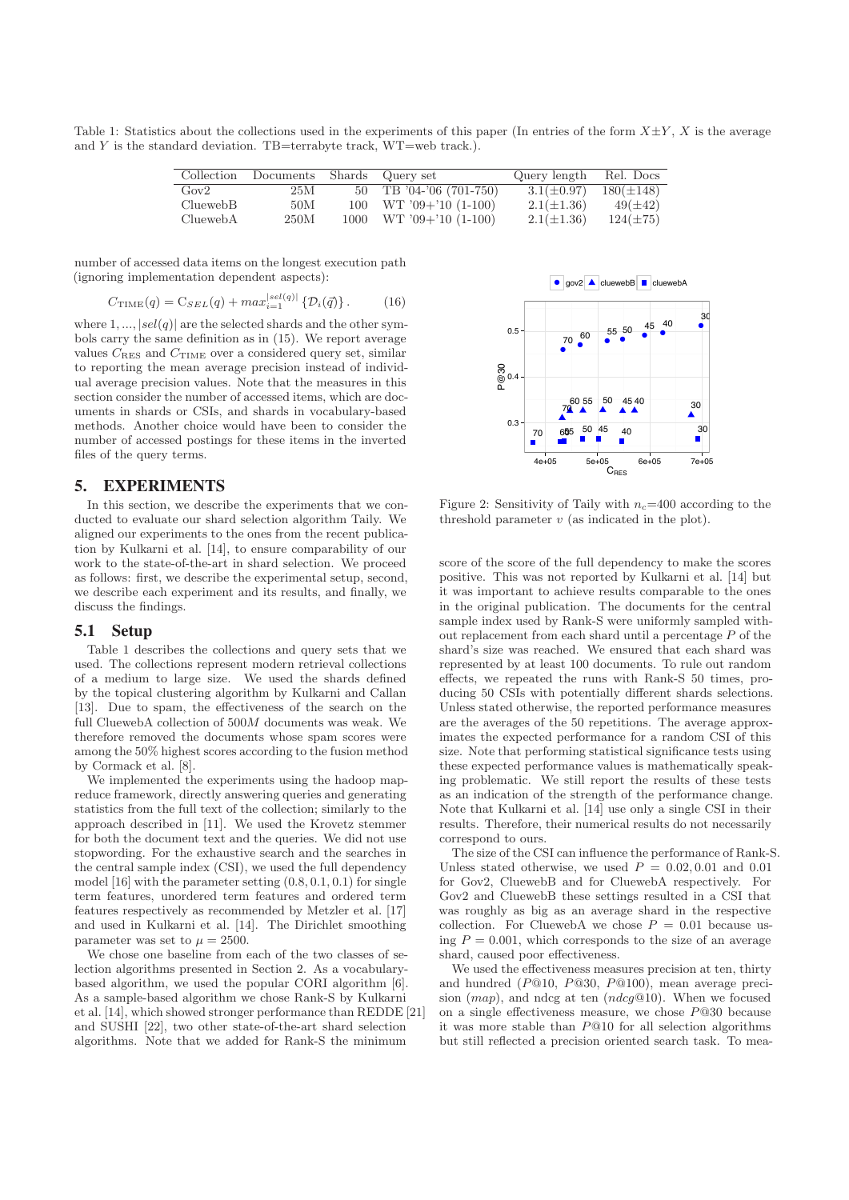Table 1: Statistics about the collections used in the experiments of this paper (In entries of the form  $X \pm Y$ , X is the average and  $Y$  is the standard deviation. TB=terrabyte track, WT=web track.).

| Collection | Documents Shards Query set |    |                            | Query length    | Rel. Docs      |
|------------|----------------------------|----|----------------------------|-----------------|----------------|
| Gov2       | 25M                        | 50 | TB '04-'06 (701-750)       | $3.1(\pm 0.97)$ | $180(\pm 148)$ |
| CluewebB   | 50M                        |    | $100$ WT $'09+'10$ (1-100) | $2.1(\pm 1.36)$ | $49(\pm 42)$   |
| CluewebA   | 250M                       |    | $1000$ WT $09+10$ (1-100)  | $2.1(\pm 1.36)$ | $124(\pm 75)$  |

number of accessed data items on the longest execution path (ignoring implementation dependent aspects):

$$
C_{\text{TIME}}(q) = \text{C}_{SEL}(q) + \max_{i=1}^{|sel(q)|} \left\{ \mathcal{D}_i(\vec{q}) \right\}. \tag{16}
$$

where  $1, \ldots$ ,  $|sel(a)|$  are the selected shards and the other symbols carry the same definition as in (15). We report average values  $C_{\rm RES}$  and  $C_{\rm TIME}$  over a considered query set, similar to reporting the mean average precision instead of individual average precision values. Note that the measures in this section consider the number of accessed items, which are documents in shards or CSIs, and shards in vocabulary-based methods. Another choice would have been to consider the number of accessed postings for these items in the inverted files of the query terms.

## 5. EXPERIMENTS

In this section, we describe the experiments that we conducted to evaluate our shard selection algorithm Taily. We aligned our experiments to the ones from the recent publication by Kulkarni et al. [14], to ensure comparability of our work to the state-of-the-art in shard selection. We proceed as follows: first, we describe the experimental setup, second, we describe each experiment and its results, and finally, we discuss the findings.

## 5.1 Setup

Table 1 describes the collections and query sets that we used. The collections represent modern retrieval collections of a medium to large size. We used the shards defined by the topical clustering algorithm by Kulkarni and Callan [13]. Due to spam, the effectiveness of the search on the full CluewebA collection of 500M documents was weak. We therefore removed the documents whose spam scores were among the 50% highest scores according to the fusion method by Cormack et al. [8].

We implemented the experiments using the hadoop mapreduce framework, directly answering queries and generating statistics from the full text of the collection; similarly to the approach described in [11]. We used the Krovetz stemmer for both the document text and the queries. We did not use stopwording. For the exhaustive search and the searches in the central sample index (CSI), we used the full dependency model [16] with the parameter setting  $(0.8, 0.1, 0.1)$  for single term features, unordered term features and ordered term features respectively as recommended by Metzler et al. [17] and used in Kulkarni et al. [14]. The Dirichlet smoothing parameter was set to  $\mu = 2500$ .

We chose one baseline from each of the two classes of selection algorithms presented in Section 2. As a vocabularybased algorithm, we used the popular CORI algorithm [6]. As a sample-based algorithm we chose Rank-S by Kulkarni et al. [14], which showed stronger performance than REDDE [21] and SUSHI [22], two other state-of-the-art shard selection algorithms. Note that we added for Rank-S the minimum



Figure 2: Sensitivity of Taily with  $n_c=400$  according to the threshold parameter  $v$  (as indicated in the plot).

score of the score of the full dependency to make the scores positive. This was not reported by Kulkarni et al. [14] but it was important to achieve results comparable to the ones in the original publication. The documents for the central sample index used by Rank-S were uniformly sampled without replacement from each shard until a percentage P of the shard's size was reached. We ensured that each shard was represented by at least 100 documents. To rule out random effects, we repeated the runs with Rank-S 50 times, producing 50 CSIs with potentially different shards selections. Unless stated otherwise, the reported performance measures are the averages of the 50 repetitions. The average approximates the expected performance for a random CSI of this size. Note that performing statistical significance tests using these expected performance values is mathematically speaking problematic. We still report the results of these tests as an indication of the strength of the performance change. Note that Kulkarni et al. [14] use only a single CSI in their results. Therefore, their numerical results do not necessarily correspond to ours.

The size of the CSI can influence the performance of Rank-S. Unless stated otherwise, we used  $P = 0.02, 0.01$  and 0.01 for Gov2, CluewebB and for CluewebA respectively. For Gov2 and CluewebB these settings resulted in a CSI that was roughly as big as an average shard in the respective collection. For CluewebA we chose  $P = 0.01$  because using  $P = 0.001$ , which corresponds to the size of an average shard, caused poor effectiveness.

We used the effectiveness measures precision at ten, thirty and hundred (P@10, P@30, P@100), mean average precision  $(map)$ , and ndcg at ten  $(ndeg@10)$ . When we focused on a single effectiveness measure, we chose  $P@30$  because it was more stable than P@10 for all selection algorithms but still reflected a precision oriented search task. To mea-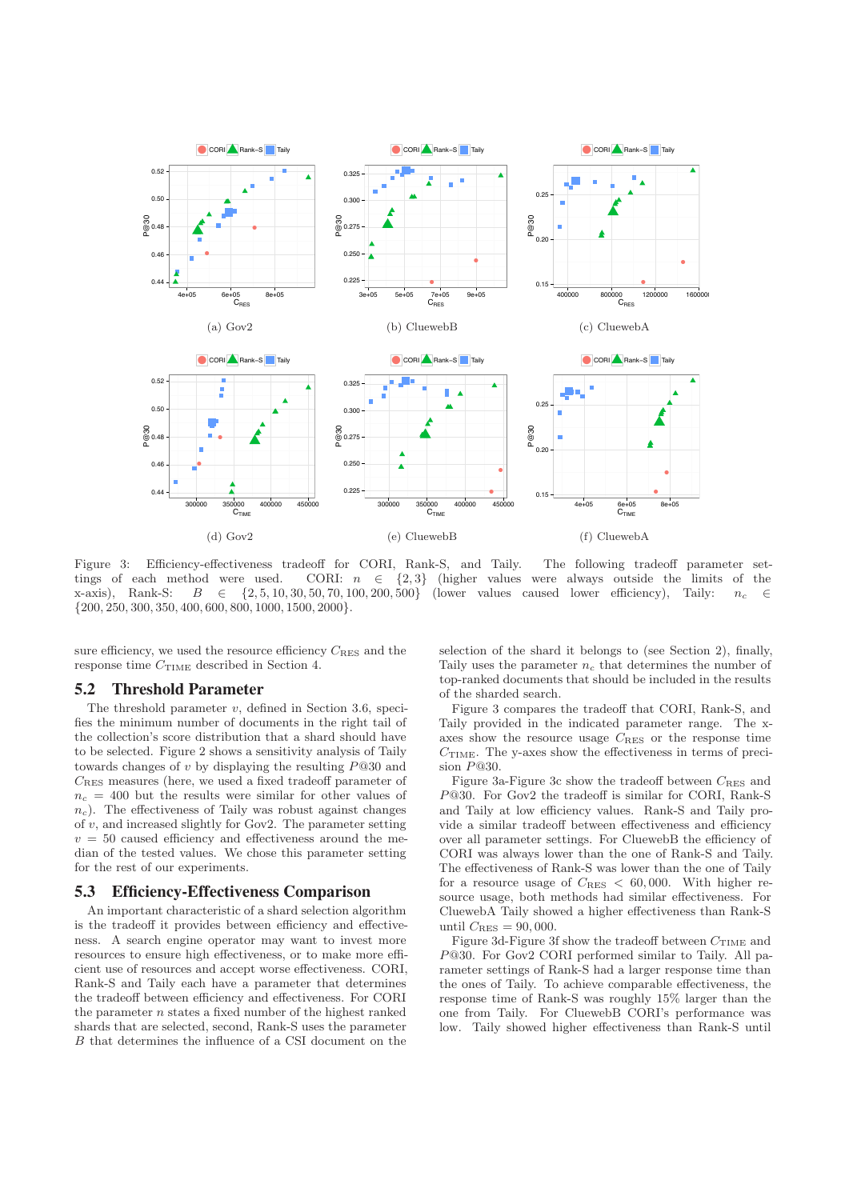

Figure 3: Efficiency-effectiveness tradeoff for CORI, Rank-S, and Taily. The following tradeoff parameter settings of each method were used. CORI:  $n \in \{2,3\}$  (higher values were always outside the limits of the x-axis), Rank-S:  $B \in \{2, 5, 10, 30, 50, 70, 100, 200, 500\}$  (lower values caused lower efficiency), Taily:  $n_c \in$ {200, 250, 300, 350, 400, 600, 800, 1000, 1500, 2000}.

sure efficiency, we used the resource efficiency  $C_{RES}$  and the response time CTIME described in Section 4.

## 5.2 Threshold Parameter

The threshold parameter  $v$ , defined in Section 3.6, specifies the minimum number of documents in the right tail of the collection's score distribution that a shard should have to be selected. Figure 2 shows a sensitivity analysis of Taily towards changes of  $v$  by displaying the resulting  $P@30$  and CRES measures (here, we used a fixed tradeoff parameter of  $n_c = 400$  but the results were similar for other values of  $n_c$ ). The effectiveness of Taily was robust against changes of  $v$ , and increased slightly for Gov2. The parameter setting  $v = 50$  caused efficiency and effectiveness around the median of the tested values. We chose this parameter setting for the rest of our experiments.

## 5.3 Efficiency-Effectiveness Comparison

An important characteristic of a shard selection algorithm is the tradeoff it provides between efficiency and effectiveness. A search engine operator may want to invest more resources to ensure high effectiveness, or to make more efficient use of resources and accept worse effectiveness. CORI, Rank-S and Taily each have a parameter that determines the tradeoff between efficiency and effectiveness. For CORI the parameter n states a fixed number of the highest ranked shards that are selected, second, Rank-S uses the parameter B that determines the influence of a CSI document on the

selection of the shard it belongs to (see Section 2), finally, Taily uses the parameter  $n_c$  that determines the number of top-ranked documents that should be included in the results of the sharded search.

Figure 3 compares the tradeoff that CORI, Rank-S, and Taily provided in the indicated parameter range. The xaxes show the resource usage CRES or the response time  $C_{\text{TIME}}$ . The y-axes show the effectiveness in terms of precision P@30.

Figure 3a-Figure 3c show the tradeoff between  $C_{\text{RES}}$  and P@30. For Gov2 the tradeoff is similar for CORI, Rank-S and Taily at low efficiency values. Rank-S and Taily provide a similar tradeoff between effectiveness and efficiency over all parameter settings. For CluewebB the efficiency of CORI was always lower than the one of Rank-S and Taily. The effectiveness of Rank-S was lower than the one of Taily for a resource usage of  $C_{RES} < 60,000$ . With higher resource usage, both methods had similar effectiveness. For CluewebA Taily showed a higher effectiveness than Rank-S until  $C_{\text{RES}} = 90,000$ .

Figure 3d-Figure 3f show the tradeoff between  $C_{\text{TIME}}$  and P@30. For Gov2 CORI performed similar to Taily. All parameter settings of Rank-S had a larger response time than the ones of Taily. To achieve comparable effectiveness, the response time of Rank-S was roughly 15% larger than the one from Taily. For CluewebB CORI's performance was low. Taily showed higher effectiveness than Rank-S until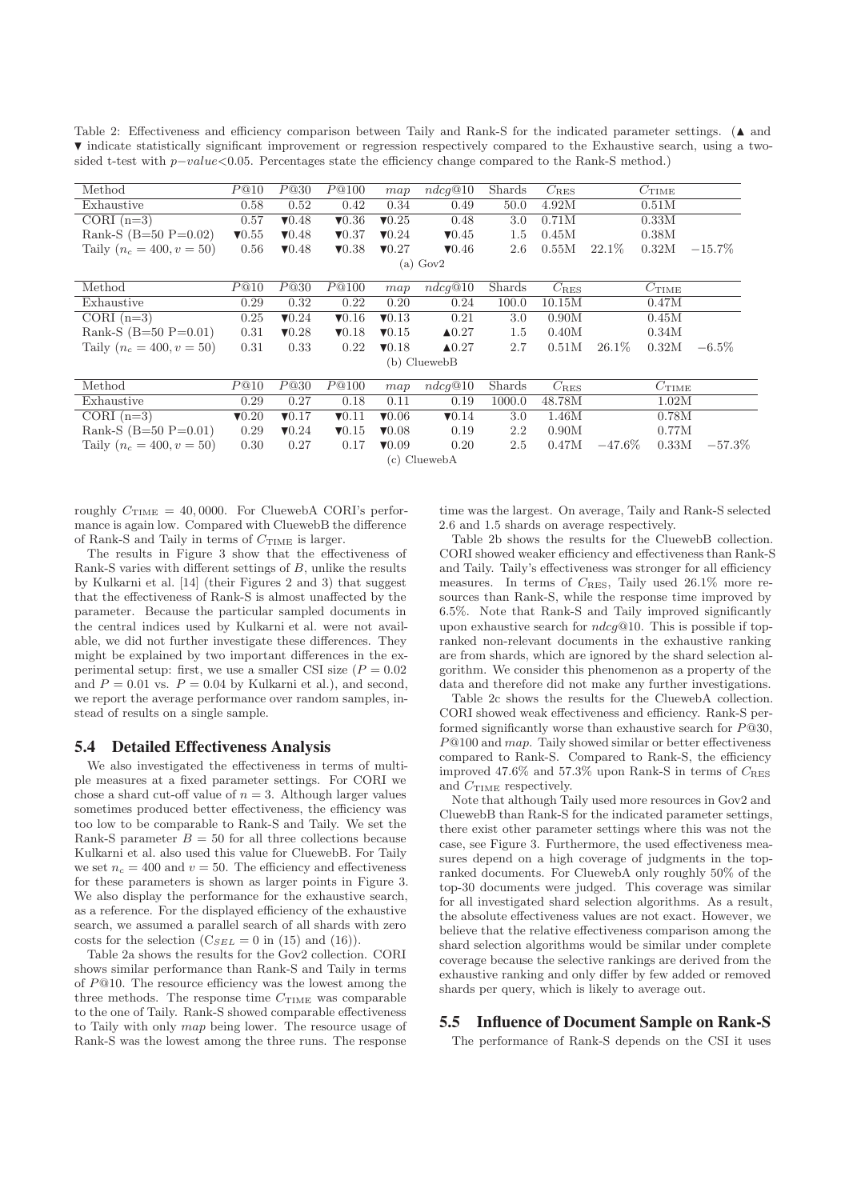Table 2: Effectiveness and efficiency comparison between Taily and Rank-S for the indicated parameter settings. ( $\triangle$  and � indicate statistically significant improvement or regression respectively compared to the Exhaustive search, using a twosided t-test with p-value<0.05. Percentages state the efficiency change compared to the Rank-S method.)

| Method                               | P@10          | P@30          | P@100                     | map                       | ndcg@10          | Shards  | $C_{RES}$     |                   | $C_{\rm TIME}$ |           |  |
|--------------------------------------|---------------|---------------|---------------------------|---------------------------|------------------|---------|---------------|-------------------|----------------|-----------|--|
| Exhaustive                           | 0.58          | 0.52          | 0.42                      | 0.34                      | 0.49             | 50.0    | 4.92M         |                   | 0.51M          |           |  |
| CORI $(n=3)$                         | 0.57          | $\P$ 0.48     | $\blacktriangledown 0.36$ | $\nabla 0.25$             | 0.48             | 3.0     | 0.71M         |                   | 0.33M          |           |  |
| Rank-S $(B=50 P=0.02)$               | $\nabla 0.55$ | $\nabla 0.48$ | $\nabla 0.37$             | $\nabla 0.24$             | $\nabla 0.45$    | $1.5\,$ | 0.45M         |                   | 0.38M          |           |  |
| Taily $(n_c = 400, v = 50)$          | 0.56          | $\nabla 0.48$ | $\nabla 0.38$             | $\nabla 0.27$             | $\nabla 0.46$    | 2.6     | 0.55M         | 22.1\%            | 0.32M          | $-15.7\%$ |  |
| $(a)$ Gov2                           |               |               |                           |                           |                  |         |               |                   |                |           |  |
| Method                               | P@10          | P@30          | P@100                     | map                       | ndcq@10          | Shards  | $C_{\rm RES}$ |                   | $C_{\rm TIME}$ |           |  |
| Exhaustive                           | 0.29          | 0.32          | 0.22                      | 0.20                      | 0.24             | 100.0   | 10.15M        |                   | 0.47M          |           |  |
| $\overline{\text{CORI}(\text{n=3})}$ | 0.25          | $\nabla 0.24$ | $\nabla 0.16$             | $\nabla 0.13$             | 0.21             | 3.0     | 0.90M         |                   | 0.45M          |           |  |
| Rank-S $(B=50 P=0.01)$               | 0.31          | $\nabla 0.28$ | $\nabla 0.18$             | $\nabla 0.15$             | $\triangle 0.27$ | $1.5\,$ | 0.40M         |                   | 0.34M          |           |  |
| Taily $(n_c = 400, v = 50)$          | 0.31          | 0.33          | 0.22                      | $\nabla 0.18$             | $\triangle 0.27$ | 2.7     | 0.51M         | 26.1\%            | 0.32M          | $-6.5\%$  |  |
| (b) CluewebB                         |               |               |                           |                           |                  |         |               |                   |                |           |  |
| Method                               | P@10          | P@30          | P@100                     | map                       | ndcq@10          | Shards  | $C_{\rm RES}$ | $C_{\text{TIME}}$ |                |           |  |
| Exhaustive                           | 0.29          | 0.27          | 0.18                      | 0.11                      | 0.19             | 1000.0  | 48.78M        | 1.02M             |                |           |  |
| CORI $(n=3)$                         | $\nabla 0.20$ | $\nabla 0.17$ | $\nabla 0.11$             | $\blacktriangledown 0.06$ | $\nabla 0.14$    | 3.0     | 1.46M         | 0.78M             |                |           |  |
| Rank-S $(B=50 P=0.01)$               | 0.29          | $\nabla 0.24$ | $\nabla 0.15$             | $\blacktriangledown 0.08$ | 0.19             | 2.2     | 0.90M         |                   | 0.77M          |           |  |
| Taily $(n_c = 400, v = 50)$          | 0.30          | 0.27          | 0.17                      | $\nabla 0.09$             | 0.20             | 2.5     | 0.47M         | $-47.6\%$         | 0.33M          | $-57.3\%$ |  |
| (c) CluewebA                         |               |               |                           |                           |                  |         |               |                   |                |           |  |

roughly  $C_{\text{TIME}} = 40,0000$ . For CluewebA CORI's performance is again low. Compared with CluewebB the difference of Rank-S and Taily in terms of  $C_{\text{TIME}}$  is larger.

The results in Figure 3 show that the effectiveness of Rank-S varies with different settings of B, unlike the results by Kulkarni et al. [14] (their Figures 2 and 3) that suggest that the effectiveness of Rank-S is almost unaffected by the parameter. Because the particular sampled documents in the central indices used by Kulkarni et al. were not available, we did not further investigate these differences. They might be explained by two important differences in the experimental setup: first, we use a smaller CSI size  $(P = 0.02)$ and  $P = 0.01$  vs.  $P = 0.04$  by Kulkarni et al.), and second, we report the average performance over random samples, instead of results on a single sample.

#### 5.4 Detailed Effectiveness Analysis

We also investigated the effectiveness in terms of multiple measures at a fixed parameter settings. For CORI we chose a shard cut-off value of  $n = 3$ . Although larger values sometimes produced better effectiveness, the efficiency was too low to be comparable to Rank-S and Taily. We set the Rank-S parameter  $B = 50$  for all three collections because Kulkarni et al. also used this value for CluewebB. For Taily we set  $n_c = 400$  and  $v = 50$ . The efficiency and effectiveness for these parameters is shown as larger points in Figure 3. We also display the performance for the exhaustive search, as a reference. For the displayed efficiency of the exhaustive search, we assumed a parallel search of all shards with zero costs for the selection  $(C_{SEL} = 0$  in (15) and (16)).

Table 2a shows the results for the Gov2 collection. CORI shows similar performance than Rank-S and Taily in terms of P@10. The resource efficiency was the lowest among the three methods. The response time  $C_{\text{TIME}}$  was comparable to the one of Taily. Rank-S showed comparable effectiveness to Taily with only map being lower. The resource usage of Rank-S was the lowest among the three runs. The response time was the largest. On average, Taily and Rank-S selected 2.6 and 1.5 shards on average respectively.

Table 2b shows the results for the CluewebB collection. CORI showed weaker efficiency and effectiveness than Rank-S and Taily. Taily's effectiveness was stronger for all efficiency measures. In terms of  $C_{RES}$ , Taily used  $26.1\%$  more resources than Rank-S, while the response time improved by 6.5%. Note that Rank-S and Taily improved significantly upon exhaustive search for  $ndcg@10$ . This is possible if topranked non-relevant documents in the exhaustive ranking are from shards, which are ignored by the shard selection algorithm. We consider this phenomenon as a property of the data and therefore did not make any further investigations.

Table 2c shows the results for the CluewebA collection. CORI showed weak effectiveness and efficiency. Rank-S performed significantly worse than exhaustive search for  $P@30$ , P@100 and map. Taily showed similar or better effectiveness compared to Rank-S. Compared to Rank-S, the efficiency improved 47.6% and 57.3% upon Rank-S in terms of CRES and  $C_{\text{TIME}}$  respectively.

Note that although Taily used more resources in Gov2 and CluewebB than Rank-S for the indicated parameter settings, there exist other parameter settings where this was not the case, see Figure 3. Furthermore, the used effectiveness measures depend on a high coverage of judgments in the topranked documents. For CluewebA only roughly 50% of the top-30 documents were judged. This coverage was similar for all investigated shard selection algorithms. As a result, the absolute effectiveness values are not exact. However, we believe that the relative effectiveness comparison among the shard selection algorithms would be similar under complete coverage because the selective rankings are derived from the exhaustive ranking and only differ by few added or removed shards per query, which is likely to average out.

## 5.5 Influence of Document Sample on Rank-S

The performance of Rank-S depends on the CSI it uses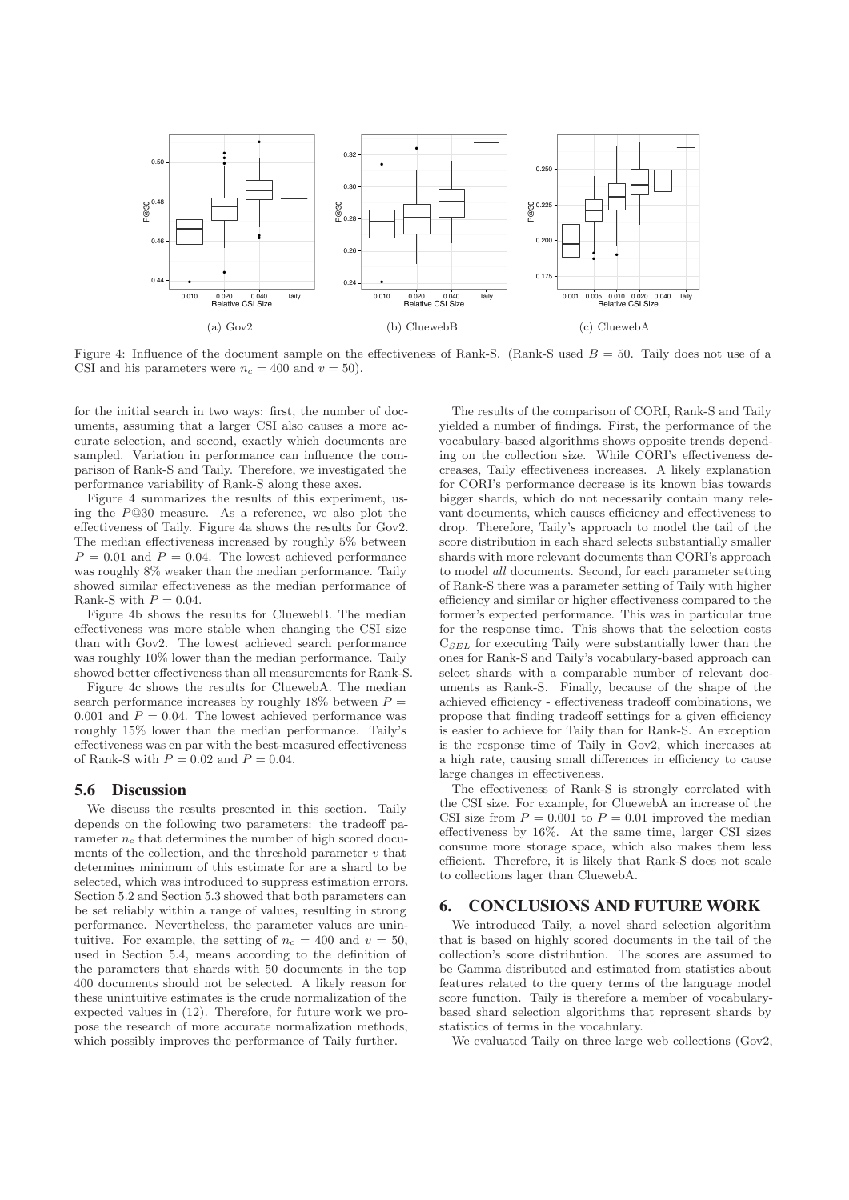

Figure 4: Influence of the document sample on the effectiveness of Rank-S. (Rank-S used  $B = 50$ . Taily does not use of a CSI and his parameters were  $n_c = 400$  and  $v = 50$ .

for the initial search in two ways: first, the number of documents, assuming that a larger CSI also causes a more accurate selection, and second, exactly which documents are sampled. Variation in performance can influence the comparison of Rank-S and Taily. Therefore, we investigated the performance variability of Rank-S along these axes.

Figure 4 summarizes the results of this experiment, using the P@30 measure. As a reference, we also plot the effectiveness of Taily. Figure 4a shows the results for Gov2. The median effectiveness increased by roughly 5% between  $P = 0.01$  and  $P = 0.04$ . The lowest achieved performance was roughly 8% weaker than the median performance. Taily showed similar effectiveness as the median performance of Rank-S with  $P = 0.04$ .

Figure 4b shows the results for CluewebB. The median effectiveness was more stable when changing the CSI size than with Gov2. The lowest achieved search performance was roughly 10% lower than the median performance. Taily showed better effectiveness than all measurements for Rank-S.

Figure 4c shows the results for CluewebA. The median search performance increases by roughly 18% between  $P =$ 0.001 and  $P = 0.04$ . The lowest achieved performance was roughly 15% lower than the median performance. Taily's effectiveness was en par with the best-measured effectiveness of Rank-S with  $P = 0.02$  and  $P = 0.04$ .

## 5.6 Discussion

We discuss the results presented in this section. Taily depends on the following two parameters: the tradeoff parameter  $n_c$  that determines the number of high scored documents of the collection, and the threshold parameter  $v$  that determines minimum of this estimate for are a shard to be selected, which was introduced to suppress estimation errors. Section 5.2 and Section 5.3 showed that both parameters can be set reliably within a range of values, resulting in strong performance. Nevertheless, the parameter values are unintuitive. For example, the setting of  $n_c = 400$  and  $v = 50$ , used in Section 5.4, means according to the definition of the parameters that shards with 50 documents in the top 400 documents should not be selected. A likely reason for these unintuitive estimates is the crude normalization of the expected values in (12). Therefore, for future work we propose the research of more accurate normalization methods, which possibly improves the performance of Taily further.

The results of the comparison of CORI, Rank-S and Taily yielded a number of findings. First, the performance of the vocabulary-based algorithms shows opposite trends depending on the collection size. While CORI's effectiveness decreases, Taily effectiveness increases. A likely explanation for CORI's performance decrease is its known bias towards bigger shards, which do not necessarily contain many relevant documents, which causes efficiency and effectiveness to drop. Therefore, Taily's approach to model the tail of the score distribution in each shard selects substantially smaller shards with more relevant documents than CORI's approach to model all documents. Second, for each parameter setting of Rank-S there was a parameter setting of Taily with higher efficiency and similar or higher effectiveness compared to the former's expected performance. This was in particular true for the response time. This shows that the selection costs  $C<sub>SEL</sub>$  for executing Taily were substantially lower than the ones for Rank-S and Taily's vocabulary-based approach can select shards with a comparable number of relevant documents as Rank-S. Finally, because of the shape of the achieved efficiency - effectiveness tradeoff combinations, we propose that finding tradeoff settings for a given efficiency is easier to achieve for Taily than for Rank-S. An exception is the response time of Taily in Gov2, which increases at a high rate, causing small differences in efficiency to cause large changes in effectiveness.

The effectiveness of Rank-S is strongly correlated with the CSI size. For example, for CluewebA an increase of the CSI size from  $P = 0.001$  to  $P = 0.01$  improved the median effectiveness by 16%. At the same time, larger CSI sizes consume more storage space, which also makes them less efficient. Therefore, it is likely that Rank-S does not scale to collections lager than CluewebA.

## 6. CONCLUSIONS AND FUTURE WORK

We introduced Taily, a novel shard selection algorithm that is based on highly scored documents in the tail of the collection's score distribution. The scores are assumed to be Gamma distributed and estimated from statistics about features related to the query terms of the language model score function. Taily is therefore a member of vocabularybased shard selection algorithms that represent shards by statistics of terms in the vocabulary.

We evaluated Taily on three large web collections (Gov2,